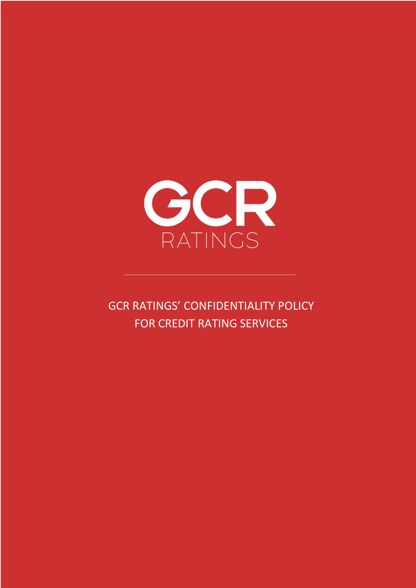

GCR RATINGS' CONFIDENTIALITY POLICY FOR CREDIT RATING SERVICES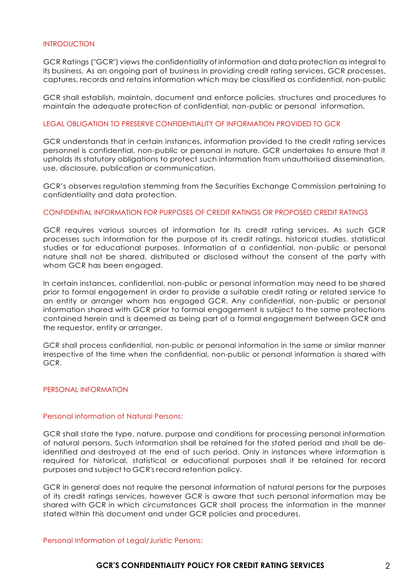#### INTRODUCTION

GCR Ratings ("GCR") views the confidentiality of information and data protection as integral to its business. As an ongoing part of business in providing credit rating services, GCR processes, captures, records and retains information which may be classified as confidential, non-public

GCR shall establish, maintain, document and enforce policies, structures and procedures to maintain the adequate protection of confidential, non-public or personal information.

### LEGAL OBLIGATION TO PRESERVE CONFIDENTIALITY OF INFORMATION PROVIDED TO GCR

GCR understands that in certain instances, information provided to the credit rating services personnel is confidential, non-public or personal in nature. GCR undertakes to ensure that it upholds its statutory obligations to protect such information from unauthorised dissemination, use, disclosure, publication or communication.

GCR's observes regulation stemming from the Securities Exchange Commission pertaining to confidentiality and data protection.

#### CONFIDENTIAL INFORMATION FOR PURPOSES OF CREDIT RATINGS OR PROPOSED CREDIT RATINGS

GCR requires various sources of information for its credit rating services. As such GCR processes such information for the purpose of its credit ratings, historical studies, statistical studies or for educational purposes. Information of a confidential, non-public or personal nature shall not be shared, distributed or disclosed without the consent of the party with whom GCR has been engaged.

In certain instances, confidential, non-public or personal information may need to be shared prior to formal engagement in order to provide a suitable credit rating or related service to an entity or arranger whom has engaged GCR. Any confidential, non-public or personal information shared with GCR prior to formal engagement is subject to the same protections contained herein and is deemed as being part of a formal engagement between GCR and the requestor, entity or arranger.

GCR shall process confidential, non-public or personal information in the same or similar manner irrespective of the time when the confidential, non-public or personal information is shared with GCR.

#### PERSONAL INFORMATION

#### Personal information of Natural Persons:

GCR shall state the type, nature, purpose and conditions for processing personal information of natural persons. Such information shall be retained for the stated period and shall be deidentified and destroyed at the end of such period. Only in instances where information is required for historical, statistical or educational purposes shall it be retained for record purposes and subject to GCR's record retention policy.

GCR in general does not require the personal information of natural persons for the purposes of its credit ratings services, however GCR is aware that such personal information may be shared with GCR in which circumstances GCR shall process the information in the manner stated within this document and under GCR policies and procedures.

Personal Information of Legal/Juristic Persons:

## GCR'S CONFIDENTIALITY POLICY FOR CREDIT RATING SERVICES 2